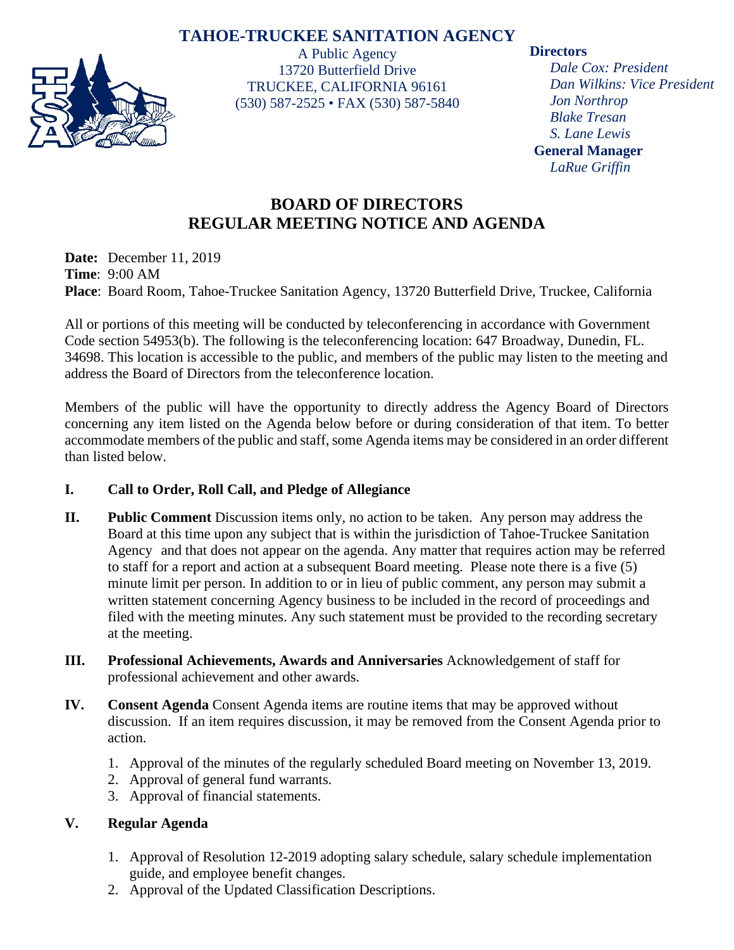## **TAHOE-TRUCKEE SANITATION AGENCY**



A Public Agency 13720 Butterfield Drive TRUCKEE, CALIFORNIA 96161 (530) 587-2525 • FAX (530) 587-5840

### **Directors**

*Dale Cox: President Dan Wilkins: Vice President Jon Northrop Blake Tresan S. Lane Lewis* **General Manager** *LaRue Griffin*

# **BOARD OF DIRECTORS REGULAR MEETING NOTICE AND AGENDA**

**Date:** December 11, 2019 **Time**: 9:00 AM **Place**: Board Room, Tahoe-Truckee Sanitation Agency, 13720 Butterfield Drive, Truckee, California

All or portions of this meeting will be conducted by teleconferencing in accordance with Government Code section 54953(b). The following is the teleconferencing location: 647 Broadway, Dunedin, FL. 34698. This location is accessible to the public, and members of the public may listen to the meeting and address the Board of Directors from the teleconference location.

Members of the public will have the opportunity to directly address the Agency Board of Directors concerning any item listed on the Agenda below before or during consideration of that item. To better accommodate members of the public and staff, some Agenda items may be considered in an order different than listed below.

### **I. Call to Order, Roll Call, and Pledge of Allegiance**

- **II. Public Comment** Discussion items only, no action to be taken. Any person may address the Board at this time upon any subject that is within the jurisdiction of Tahoe-Truckee Sanitation Agency and that does not appear on the agenda. Any matter that requires action may be referred to staff for a report and action at a subsequent Board meeting. Please note there is a five (5) minute limit per person. In addition to or in lieu of public comment, any person may submit a written statement concerning Agency business to be included in the record of proceedings and filed with the meeting minutes. Any such statement must be provided to the recording secretary at the meeting.
- **III. Professional Achievements, Awards and Anniversaries** Acknowledgement of staff for professional achievement and other awards.
- **IV. Consent Agenda** Consent Agenda items are routine items that may be approved without discussion. If an item requires discussion, it may be removed from the Consent Agenda prior to action.
	- 1. Approval of the minutes of the regularly scheduled Board meeting on November 13, 2019.
	- 2. Approval of general fund warrants.
	- 3. Approval of financial statements.

### **V. Regular Agenda**

- 1. Approval of Resolution 12-2019 adopting salary schedule, salary schedule implementation guide, and employee benefit changes.
- 2. Approval of the Updated Classification Descriptions.